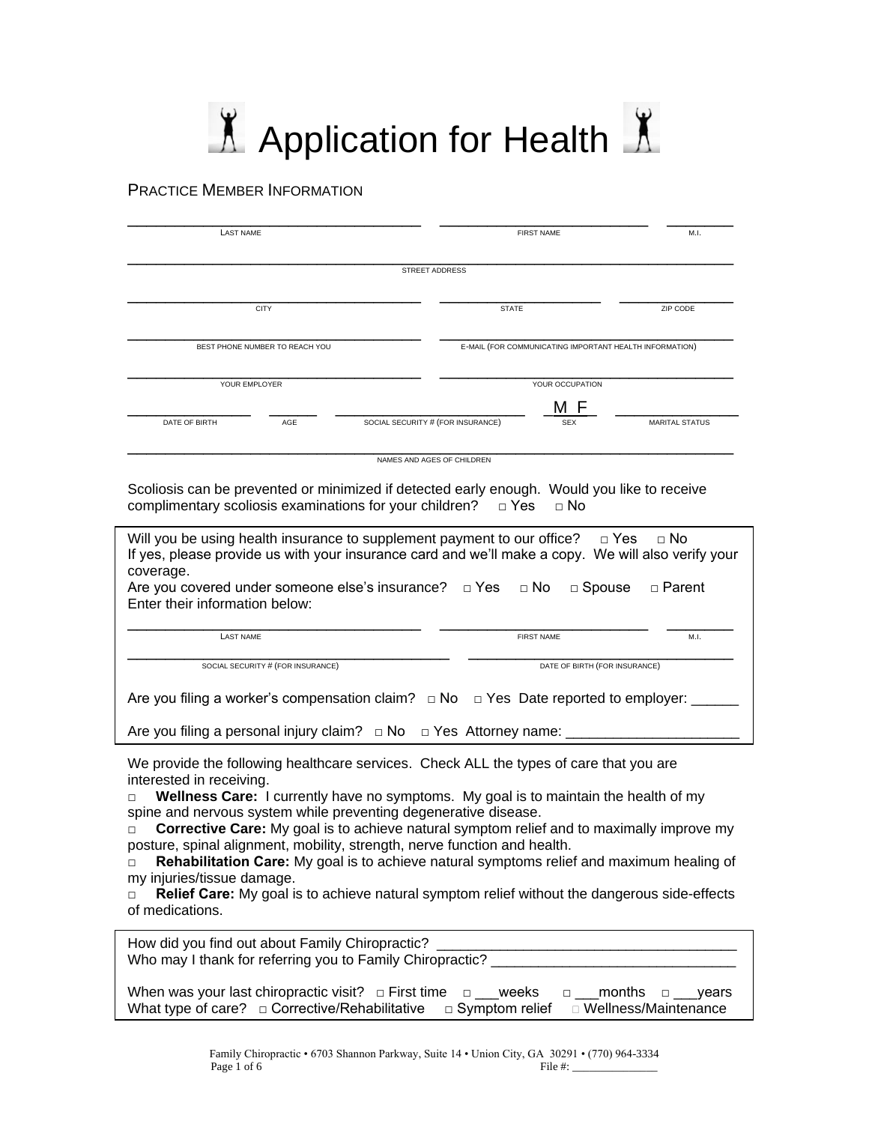# $\Lambda$  Application for Health  $\Lambda$

# PRACTICE MEMBER INFORMATION

| <b>LAST NAME</b>               |     |                                                         | <b>FIRST NAME</b> |                   | M.I.                  |
|--------------------------------|-----|---------------------------------------------------------|-------------------|-------------------|-----------------------|
|                                |     | STREET ADDRESS                                          |                   |                   |                       |
| <b>CITY</b>                    |     |                                                         | <b>STATE</b>      |                   | ZIP CODE              |
| BEST PHONE NUMBER TO REACH YOU |     | E-MAIL (FOR COMMUNICATING IMPORTANT HEALTH INFORMATION) |                   |                   |                       |
| YOUR EMPLOYER                  |     |                                                         |                   | YOUR OCCUPATION   |                       |
|                                | AGE | SOCIAL SECURITY # (FOR INSURANCE)                       |                   | M F<br><b>SEX</b> | <b>MARITAL STATUS</b> |

Scoliosis can be prevented or minimized if detected early enough. Would you like to receive complimentary scoliosis examinations for your children?  $□$  Yes  $□$  No

| Will you be using health insurance to supplement payment to our office? $\Box$ Yes $\Box$ No<br>If yes, please provide us with your insurance card and we'll make a copy. We will also verify your<br>coverage.<br>Are you covered under someone else's insurance? $\Box$ Yes<br>$\Box$ No<br>$\Box$ Spouse<br>□ Parent |                               |      |  |  |  |  |
|-------------------------------------------------------------------------------------------------------------------------------------------------------------------------------------------------------------------------------------------------------------------------------------------------------------------------|-------------------------------|------|--|--|--|--|
| Enter their information below:                                                                                                                                                                                                                                                                                          |                               |      |  |  |  |  |
| <b>LAST NAME</b>                                                                                                                                                                                                                                                                                                        | <b>FIRST NAME</b>             | M.I. |  |  |  |  |
| SOCIAL SECURITY # (FOR INSURANCE)                                                                                                                                                                                                                                                                                       | DATE OF BIRTH (FOR INSURANCE) |      |  |  |  |  |
| Are you filing a worker's compensation claim? $\Box$ No $\Box$ Yes Date reported to employer: _____                                                                                                                                                                                                                     |                               |      |  |  |  |  |
| Are you filing a personal injury claim? $\Box$ No $\Box$ Yes Attorney name:                                                                                                                                                                                                                                             |                               |      |  |  |  |  |

We provide the following healthcare services. Check ALL the types of care that you are interested in receiving.

**□ Wellness Care:** I currently have no symptoms. My goal is to maintain the health of my spine and nervous system while preventing degenerative disease.

**□ Corrective Care:** My goal is to achieve natural symptom relief and to maximally improve my posture, spinal alignment, mobility, strength, nerve function and health.

**□ Rehabilitation Care:** My goal is to achieve natural symptoms relief and maximum healing of my injuries/tissue damage.

**□ Relief Care:** My goal is to achieve natural symptom relief without the dangerous side-effects of medications.

| How did you find out about Family Chiropractic?<br>Who may I thank for referring you to Family Chiropractic?                                                                                             |
|----------------------------------------------------------------------------------------------------------------------------------------------------------------------------------------------------------|
| When was your last chiropractic visit? $\Box$ First time<br>weeks<br>vears<br>$\Box$<br>$\Box$<br>What type of care? $\Box$ Corrective/Rehabilitative<br>□ Wellness/Maintenance<br>$\Box$ Symptom relief |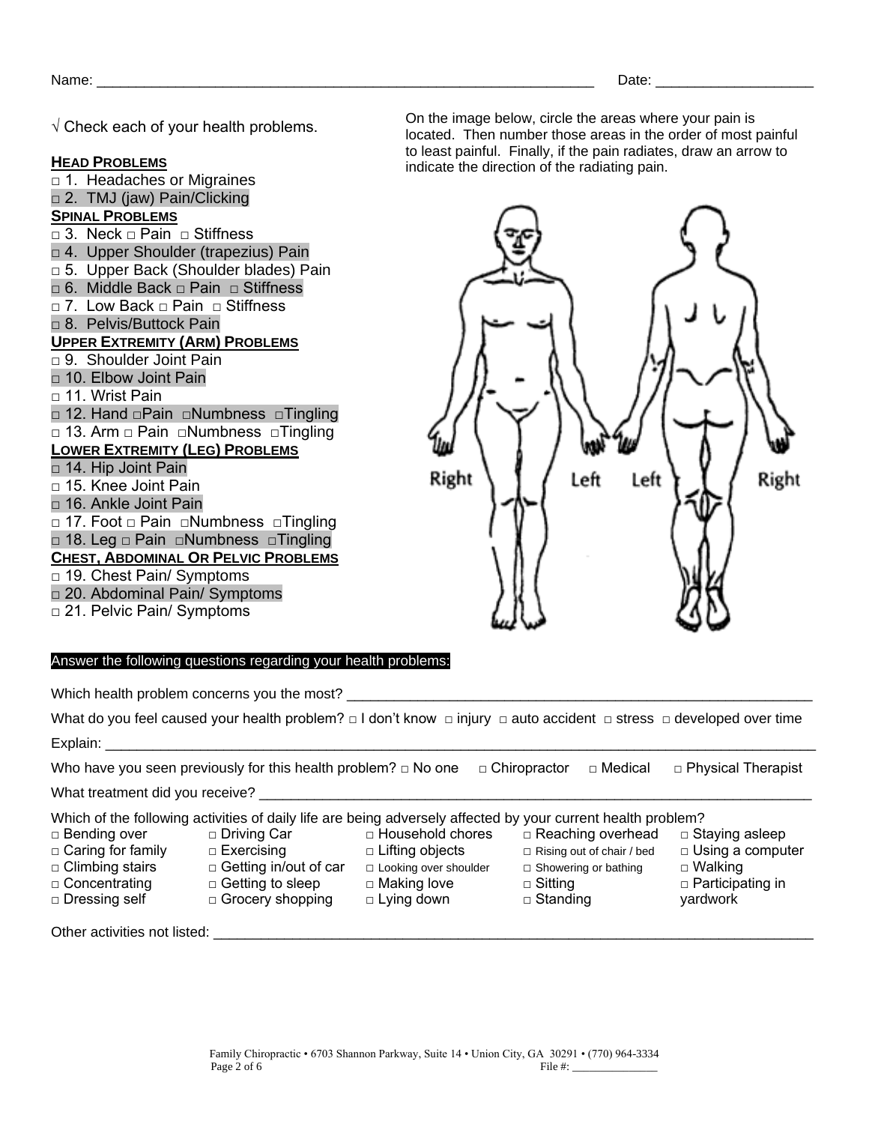$\sqrt{ }$  Check each of vour health problems.

# **HEAD PROBLEMS**

□ 1. Headaches or Migraines □ 2. TMJ (jaw) Pain/Clicking **SPINAL PROBLEMS** □ 3. Neck □ Pain □ Stiffness □ 4. Upper Shoulder (trapezius) Pain □ 5. Upper Back (Shoulder blades) Pain □ 6. Middle Back □ Pain □ Stiffness □ 7. Low Back □ Pain □ Stiffness □ 8. Pelvis/Buttock Pain **UPPER EXTREMITY (ARM) PROBLEMS** □ 9. Shoulder Joint Pain □ 10. Elbow Joint Pain □ 11. Wrist Pain □ 12. Hand □Pain □Numbness □Tingling □ 13. Arm □ Pain □Numbness □Tingling **LOWER EXTREMITY (LEG) PROBLEMS** □ 14. Hip Joint Pain □ 15. Knee Joint Pain □ 16. Ankle Joint Pain □ 17. Foot □ Pain □Numbness □Tingling □ 18. Leg □ Pain □Numbness □Tingling **CHEST, ABDOMINAL OR PELVIC PROBLEMS** □ 19. Chest Pain/ Symptoms □ 20. Abdominal Pain/ Symptoms □ 21. Pelvic Pain/ Symptoms

On the image below, circle the areas where your pain is located. Then number those areas in the order of most painful to least painful. Finally, if the pain radiates, draw an arrow to indicate the direction of the radiating pain.



□ Reaching overhead □ Rising out of chair / bed □ Showering or bathing

□ Staying asleep □ Using a computer

□ Walking □ Participating in

yardwork

□ Sitting □ Standing

## Answer the following questions regarding your health problems:

□ Driving Car □ Exercising

□ Getting to sleep □ Grocery shopping

Which health problem concerns you the most?

What do you feel caused your health problem? □ I don't know □ injury □ auto accident □ stress □ developed over time Explain:

Who have you seen previously for this health problem? □ No one □ Chiropractor □ Medical □ Physical Therapist

□ Lifting objects

□ Making love □ Lying down

What treatment did you receive?

Which of the following activities of daily life are being adversely affected by your current health problem? □ Household chores

□ Getting in/out of car □ Looking over shoulder

- □ Bending over
- □ Caring for family
- □ Climbing stairs □ Concentrating
- □ Dressing self
- 

Other activities not listed: \_\_\_\_\_\_\_\_\_\_\_\_\_\_\_\_\_\_\_\_\_\_\_\_\_\_\_\_\_\_\_\_\_\_\_\_\_\_\_\_\_\_\_\_\_\_\_\_\_\_\_\_\_\_\_\_\_\_\_\_\_\_\_\_\_\_\_\_\_\_\_\_\_\_\_\_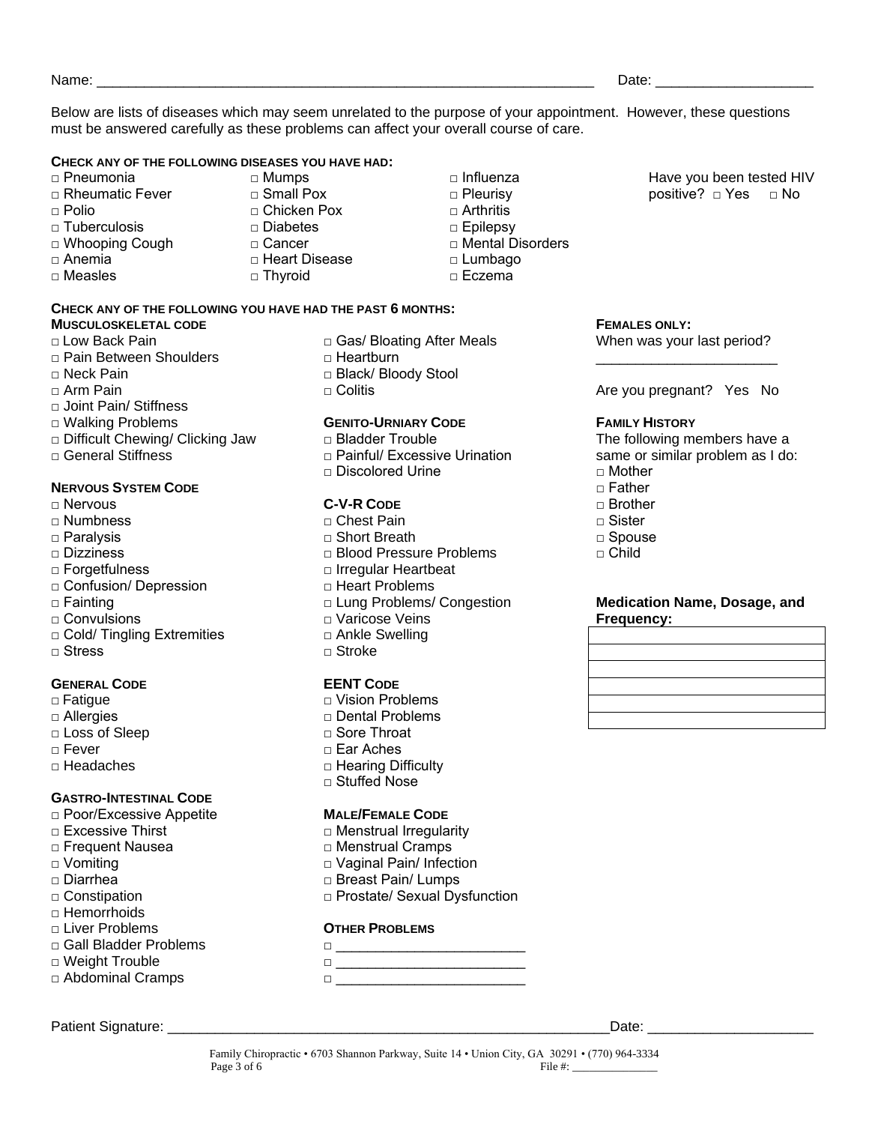Name: where the contract of the contract of the contract of the contract of the contract of the contract of the contract of the contract of the contract of the contract of the contract of the contract of the contract of th

Below are lists of diseases which may seem unrelated to the purpose of your appointment. However, these questions must be answered carefully as these problems can affect your overall course of care.

> □ Influenza □ Pleurisy  $\Box$  Arthritis □ Epilepsy

□ Lumbago □ Eczema

□ Mental Disorders

#### **CHECK ANY OF THE FOLLOWING DISEASES YOU HAVE HAD:**

- □ Pneumonia
- □ Rheumatic Fever
- $\Box$  Polio
- □ Tuberculosis
- □ Whooping Cough
- □ Anemia
- □ Measles

□ Small Pox □ Chicken Pox □ Diabetes

□ Mumps

- □ Cancer
- □ Heart Disease
- □ Thyroid
- **CHECK ANY OF THE FOLLOWING YOU HAVE HAD THE PAST 6 MONTHS:**

# **MUSCULOSKELETAL CODE**

- □ Low Back Pain
- □ Pain Between Shoulders
- □ Neck Pain
- □ Arm Pain
- □ Joint Pain/ Stiffness
- □ Walking Problems
- □ Difficult Chewing/ Clicking Jaw
- $\Box$  General Stiffness

## **NERVOUS SYSTEM CODE**

- □ Nervous
- □ Numbness
- □ Paralysis
- □ Dizziness
- □ Forgetfulness
- □ Confusion/ Depression
- □ Fainting
- □ Convulsions
- □ Cold/ Tingling Extremities
- □ Stress

#### **GENERAL CODE**

- **□** Fatigue
- □ Allergies
- □ Loss of Sleep
- □ Fever
- □ Headaches

# **GASTRO-INTESTINAL CODE**

- □ Poor/Excessive Appetite
- □ Excessive Thirst
- □ Frequent Nausea
- □ Vomiting
- □ Diarrhea
- □ Constipation
- $\Box$  Hemorrhoids
- □ Liver Problems
- □ Gall Bladder Problems
- □ Weight Trouble □ Abdominal Cramps
- Patient Signature: \_\_\_\_\_\_\_\_\_\_\_\_\_\_\_\_\_\_\_\_\_\_\_\_\_\_\_\_\_\_\_\_\_\_\_\_\_\_\_\_\_\_\_\_\_\_\_\_\_\_\_\_\_\_\_\_Date: \_\_\_\_\_\_\_\_\_\_\_\_\_\_\_\_\_\_\_\_\_
- □ Gas/ Bloating After Meals □ Heartburn
- □ Black/ Bloody Stool
- □ Colitis

## **GENITO-URNIARY CODE**

- □ Bladder Trouble
- □ Painful/ Excessive Urination
- □ Discolored Urine

## **C-V-R CODE**

- □ Chest Pain □ Short Breath □ Blood Pressure Problems □ Irregular Heartbeat □ Heart Problems
- □ Lung Problems/ Congestion
- □ Varicose Veins
- □ Ankle Swelling
- □ Stroke

## **EENT CODE**

- □ Vision Problems □ Dental Problems
- □ Sore Throat
- □ Ear Aches
- □ Hearing Difficulty
- □ Stuffed Nose

#### **MALE/FEMALE CODE**

- □ Menstrual Irregularity
- □ Menstrual Cramps
- □ Vaginal Pain/ Infection
- □ Breast Pain/ Lumps
- □ Prostate/ Sexual Dysfunction

# **OTHER PROBLEMS**

- □ \_\_\_\_\_\_\_\_\_\_\_\_\_\_\_\_\_\_\_\_\_\_\_\_
- □ \_\_\_\_\_\_\_\_\_\_\_\_\_\_\_\_\_\_\_\_\_\_\_\_ □ \_\_\_\_\_\_\_\_\_\_\_\_\_\_\_\_\_\_\_\_\_\_\_\_

Have you been tested HIV positive? □ Yes □ No

#### **FEMALES ONLY:**

When was your last period? \_\_\_\_\_\_\_\_\_\_\_\_\_\_\_\_\_\_\_\_\_\_\_

Are you pregnant? Yes No

#### **FAMILY HISTORY**

The following members have a same or similar problem as I do:

- $\sqcap$  Mother
- $\Box$  Father
- □ Brother
- $\sqcap$  Sister
- □ Spouse
- $\sqcap$  Child

# **Medication Name, Dosage, and Frequency:**

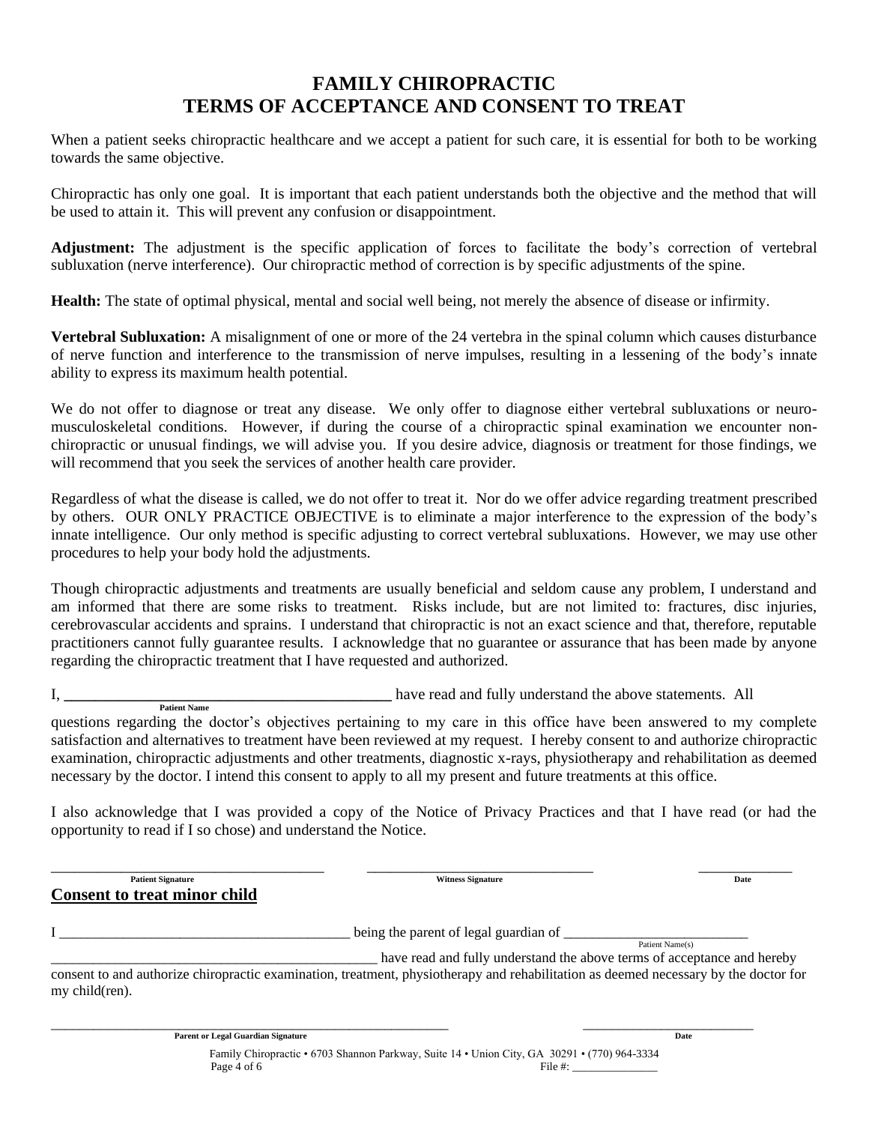# **FAMILY CHIROPRACTIC TERMS OF ACCEPTANCE AND CONSENT TO TREAT**

When a patient seeks chiropractic healthcare and we accept a patient for such care, it is essential for both to be working towards the same objective.

Chiropractic has only one goal. It is important that each patient understands both the objective and the method that will be used to attain it. This will prevent any confusion or disappointment.

**Adjustment:** The adjustment is the specific application of forces to facilitate the body's correction of vertebral subluxation (nerve interference). Our chiropractic method of correction is by specific adjustments of the spine.

**Health:** The state of optimal physical, mental and social well being, not merely the absence of disease or infirmity.

**Vertebral Subluxation:** A misalignment of one or more of the 24 vertebra in the spinal column which causes disturbance of nerve function and interference to the transmission of nerve impulses, resulting in a lessening of the body's innate ability to express its maximum health potential.

We do not offer to diagnose or treat any disease. We only offer to diagnose either vertebral subluxations or neuromusculoskeletal conditions. However, if during the course of a chiropractic spinal examination we encounter nonchiropractic or unusual findings, we will advise you. If you desire advice, diagnosis or treatment for those findings, we will recommend that you seek the services of another health care provider.

Regardless of what the disease is called, we do not offer to treat it. Nor do we offer advice regarding treatment prescribed by others. OUR ONLY PRACTICE OBJECTIVE is to eliminate a major interference to the expression of the body's innate intelligence. Our only method is specific adjusting to correct vertebral subluxations. However, we may use other procedures to help your body hold the adjustments.

Though chiropractic adjustments and treatments are usually beneficial and seldom cause any problem, I understand and am informed that there are some risks to treatment. Risks include, but are not limited to: fractures, disc injuries, cerebrovascular accidents and sprains. I understand that chiropractic is not an exact science and that, therefore, reputable practitioners cannot fully guarantee results. I acknowledge that no guarantee or assurance that has been made by anyone regarding the chiropractic treatment that I have requested and authorized.

I, **\_\_\_\_\_\_\_\_\_\_\_\_\_\_\_\_\_\_\_\_\_\_\_\_\_\_\_\_\_\_\_\_\_\_\_\_\_\_\_\_\_\_** have read and fully understand the above statements. All  **Patient Name**

questions regarding the doctor's objectives pertaining to my care in this office have been answered to my complete satisfaction and alternatives to treatment have been reviewed at my request. I hereby consent to and authorize chiropractic examination, chiropractic adjustments and other treatments, diagnostic x-rays, physiotherapy and rehabilitation as deemed necessary by the doctor. I intend this consent to apply to all my present and future treatments at this office.

I also acknowledge that I was provided a copy of the Notice of Privacy Practices and that I have read (or had the opportunity to read if I so chose) and understand the Notice.

\_\_\_\_\_\_\_\_\_\_\_\_\_\_\_\_\_\_\_\_\_\_\_\_\_\_\_\_\_\_\_\_\_\_\_ \_\_\_\_\_\_\_\_\_\_\_\_\_\_\_\_\_\_\_\_\_\_\_\_\_\_\_\_\_ \_\_\_\_\_\_\_\_\_\_\_\_ **Patient Signature Date Consent to treat minor child** I \_\_\_\_\_\_\_\_\_\_\_\_\_\_\_\_\_\_\_\_\_\_\_\_\_\_\_\_\_\_\_\_\_\_\_\_\_\_\_\_\_ being the parent of legal guardian of \_\_\_\_\_\_\_\_\_\_\_\_\_\_\_\_\_\_\_\_\_\_\_\_\_\_ Patient Name(s) \_\_\_\_\_\_\_\_\_\_\_\_\_\_\_\_\_\_\_\_\_\_\_\_\_\_\_\_\_\_\_\_\_\_\_\_\_\_\_\_\_\_\_\_\_\_ have read and fully understand the above terms of acceptance and hereby consent to and authorize chiropractic examination, treatment, physiotherapy and rehabilitation as deemed necessary by the doctor for my child(ren).

> Family Chiropractic • 6703 Shannon Parkway, Suite 14 • Union City, GA 30291 • (770) 964-3334 Page  $4 \text{ of } 6$  File  $\#$ :

\_\_\_\_\_\_\_\_\_\_\_\_\_\_\_\_\_\_\_\_\_\_\_\_\_\_\_\_\_\_\_\_\_\_\_\_\_\_\_\_\_\_\_\_\_\_\_\_\_\_\_\_\_\_\_\_ \_\_\_\_\_\_\_\_\_\_\_\_\_\_\_\_\_\_\_\_\_\_\_\_

**Parent or Legal Guardian Signature** Date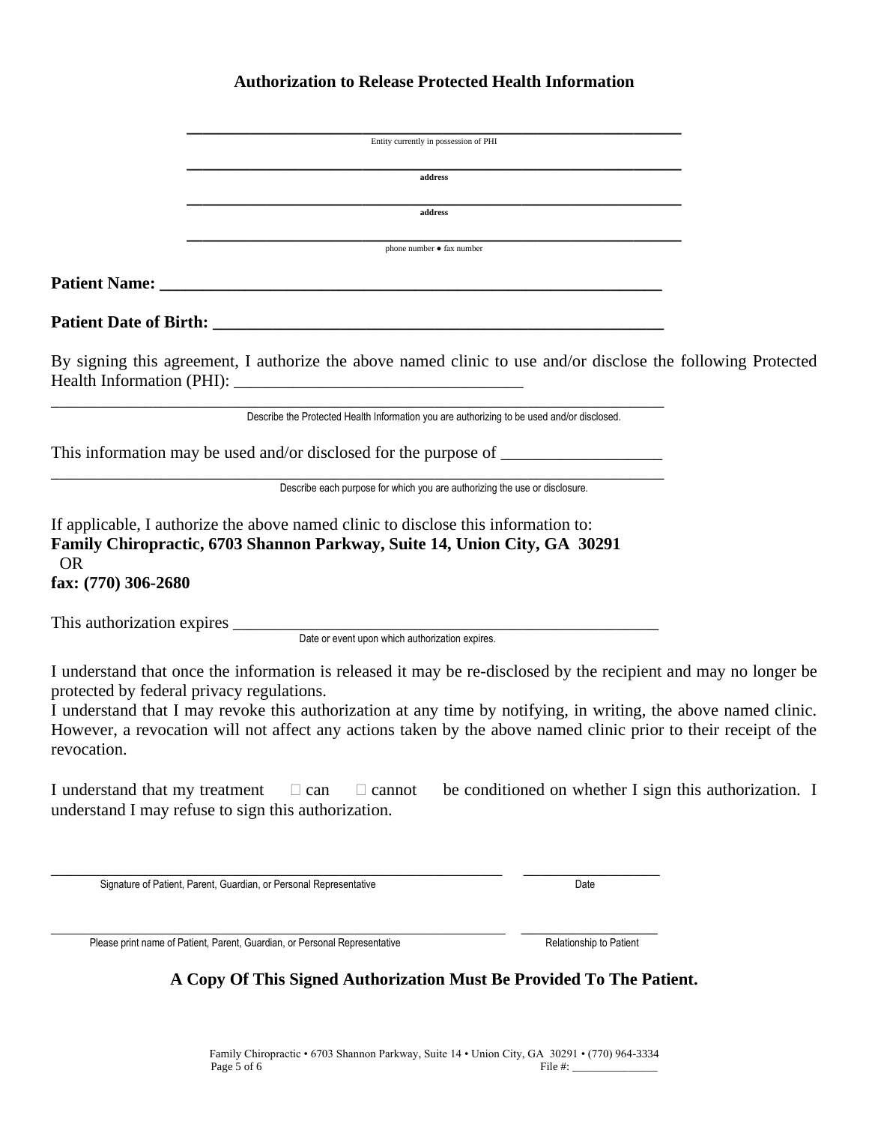# **Authorization to Release Protected Health Information**

|                                                          | Entity currently in possession of PHI                                                                                                                                                                                                                                                                                                                 |                                                        |  |
|----------------------------------------------------------|-------------------------------------------------------------------------------------------------------------------------------------------------------------------------------------------------------------------------------------------------------------------------------------------------------------------------------------------------------|--------------------------------------------------------|--|
|                                                          | address                                                                                                                                                                                                                                                                                                                                               |                                                        |  |
|                                                          | address                                                                                                                                                                                                                                                                                                                                               |                                                        |  |
|                                                          | phone number • fax number                                                                                                                                                                                                                                                                                                                             |                                                        |  |
|                                                          |                                                                                                                                                                                                                                                                                                                                                       |                                                        |  |
|                                                          |                                                                                                                                                                                                                                                                                                                                                       |                                                        |  |
|                                                          | By signing this agreement, I authorize the above named clinic to use and/or disclose the following Protected                                                                                                                                                                                                                                          |                                                        |  |
|                                                          | Describe the Protected Health Information you are authorizing to be used and/or disclosed.                                                                                                                                                                                                                                                            |                                                        |  |
|                                                          | This information may be used and/or disclosed for the purpose of ________________                                                                                                                                                                                                                                                                     |                                                        |  |
|                                                          | Describe each purpose for which you are authorizing the use or disclosure.                                                                                                                                                                                                                                                                            |                                                        |  |
| <b>OR</b><br>fax: (770) 306-2680                         | If applicable, I authorize the above named clinic to disclose this information to:<br>Family Chiropractic, 6703 Shannon Parkway, Suite 14, Union City, GA 30291                                                                                                                                                                                       |                                                        |  |
|                                                          | This authorization expires <u>Date</u> or event upon which authorization expires.                                                                                                                                                                                                                                                                     |                                                        |  |
|                                                          |                                                                                                                                                                                                                                                                                                                                                       |                                                        |  |
| protected by federal privacy regulations.<br>revocation. | I understand that once the information is released it may be re-disclosed by the recipient and may no longer be<br>I understand that I may revoke this authorization at any time by notifying, in writing, the above named clinic.<br>However, a revocation will not affect any actions taken by the above named clinic prior to their receipt of the |                                                        |  |
| I understand that my treatment                           | $\Box$ can<br>$\Box$ cannot<br>understand I may refuse to sign this authorization.                                                                                                                                                                                                                                                                    | be conditioned on whether I sign this authorization. I |  |
|                                                          | Signature of Patient, Parent, Guardian, or Personal Representative                                                                                                                                                                                                                                                                                    | Date                                                   |  |
|                                                          | Please print name of Patient, Parent, Guardian, or Personal Representative                                                                                                                                                                                                                                                                            | Relationship to Patient                                |  |

**A Copy Of This Signed Authorization Must Be Provided To The Patient.**